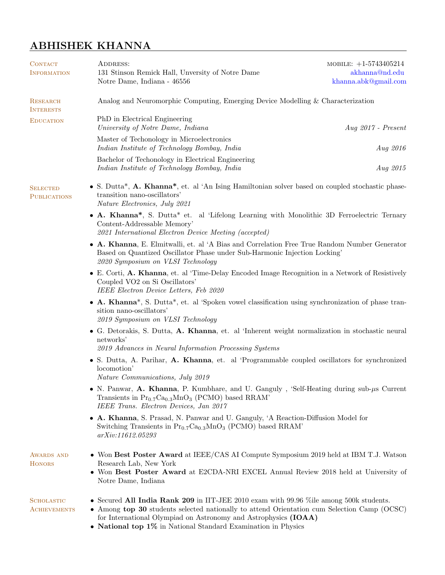# ABHISHEK KHANNA

| <b>CONTACT</b><br><b>INFORMATION</b>     | ADDRESS:<br>131 Stinson Remick Hall, Unversity of Notre Dame<br>Notre Dame, Indiana - 46556                                                                                                                                                                                                                                | MOBILE: $+1-5743405214$<br>akhanna@nd.edu<br>khanna.abk@gmail.com                                                                                                            |  |
|------------------------------------------|----------------------------------------------------------------------------------------------------------------------------------------------------------------------------------------------------------------------------------------------------------------------------------------------------------------------------|------------------------------------------------------------------------------------------------------------------------------------------------------------------------------|--|
| <b>RESEARCH</b><br><b>INTERESTS</b>      | Analog and Neuromorphic Computing, Emerging Device Modelling & Characterization                                                                                                                                                                                                                                            |                                                                                                                                                                              |  |
| <b>EDUCATION</b>                         | PhD in Electrical Engineering<br>University of Notre Dame, Indiana                                                                                                                                                                                                                                                         | $Aug 2017$ - Present                                                                                                                                                         |  |
|                                          | Master of Techonology in Microelectronics<br>Indian Institute of Technology Bombay, India                                                                                                                                                                                                                                  | Aug 2016                                                                                                                                                                     |  |
|                                          | Bachelor of Techonology in Electrical Engineering<br>Indian Institute of Technology Bombay, India                                                                                                                                                                                                                          | Aug 2015                                                                                                                                                                     |  |
| <b>SELECTED</b><br><b>PUBLICATIONS</b>   | • S. Dutta*, A. Khanna*, et. al 'An Ising Hamiltonian solver based on coupled stochastic phase-<br>transition nano-oscillators'<br>Nature Electronics, July 2021                                                                                                                                                           |                                                                                                                                                                              |  |
|                                          | • A. Khanna*, S. Dutta* et. al 'Lifelong Learning with Monolithic 3D Ferroelectric Ternary<br>Content-Addressable Memory'<br>2021 International Electron Device Meeting (accepted)                                                                                                                                         |                                                                                                                                                                              |  |
|                                          | • A. Khanna, E. Elmitwalli, et. al 'A Bias and Correlation Free True Random Number Generator<br>Based on Quantized Oscillator Phase under Sub-Harmonic Injection Locking'<br>2020 Symposium on VLSI Technology                                                                                                             |                                                                                                                                                                              |  |
|                                          | • E. Corti, A. Khanna, et. al 'Time-Delay Encoded Image Recognition in a Network of Resistively<br>Coupled VO <sub>2</sub> on Si Oscillators'<br>IEEE Electron Device Letters, Feb 2020                                                                                                                                    |                                                                                                                                                                              |  |
|                                          | • A. Khanna <sup>*</sup> , S. Dutta <sup>*</sup> , et. al 'Spoken vowel classification using synchronization of phase tran-<br>sition nano-oscillators'<br>2019 Symposium on VLSI Technology                                                                                                                               |                                                                                                                                                                              |  |
|                                          | • G. Detorakis, S. Dutta, A. Khanna, et. al 'Inherent weight normalization in stochastic neural<br>networks'<br>2019 Advances in Neural Information Processing Systems                                                                                                                                                     |                                                                                                                                                                              |  |
|                                          | • S. Dutta, A. Parihar, A. Khanna, et. al 'Programmable coupled oscillators for synchronized<br>locomotion'<br>Nature Communications, July 2019                                                                                                                                                                            |                                                                                                                                                                              |  |
|                                          | • N. Panwar, A. Khanna, P. Kumbhare, and U. Ganguly, 'Self-Heating during sub- $\mu$ s Current<br>Transients in $Pr_{0.7}Ca_{0.3}MnO_3$ (PCMO) based RRAM'<br>IEEE Trans. Electron Devices, Jan 2017                                                                                                                       |                                                                                                                                                                              |  |
|                                          | • A. Khanna, S. Prasad, N. Panwar and U. Ganguly, 'A Reaction-Diffusion Model for<br>Switching Transients in $Pr_{0.7}Ca_{0.3}MnO_3$ (PCMO) based RRAM'<br>arXiv:11612.05293                                                                                                                                               |                                                                                                                                                                              |  |
| <b>AWARDS AND</b><br><b>HONORS</b>       | Research Lab, New York<br>Notre Dame, Indiana                                                                                                                                                                                                                                                                              | • Won Best Poster Award at IEEE/CAS AI Compute Symposium 2019 held at IBM T.J. Watson<br>• Won Best Poster Award at E2CDA-NRI EXCEL Annual Review 2018 held at University of |  |
| <b>SCHOLASTIC</b><br><b>ACHIEVEMENTS</b> | • Secured All India Rank 209 in IIT-JEE 2010 exam with 99.96 % ile among 500k students.<br>• Among top 30 students selected nationally to attend Orientation cum Selection Camp (OCSC)<br>for International Olympiad on Astronomy and Astrophysics (IOAA)<br>• National top 1% in National Standard Examination in Physics |                                                                                                                                                                              |  |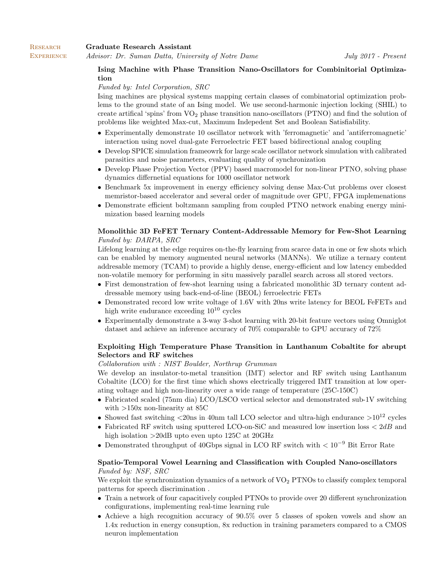**RESEARCH** 

# Ising Machine with Phase Transition Nano-Oscillators for Combinitorial Optimization

#### Funded by: Intel Corporation, SRC

Ising machines are physical systems mapping certain classes of combinatorial optimization problems to the ground state of an Ising model. We use second-harmonic injection locking (SHIL) to create artifical 'spins' from VO<sup>2</sup> phase transition nano-oscillators (PTNO) and find the solution of problems like weighted Max-cut, Maximum Indepedent Set and Boolean Satisfiability.

- Experimentally demonstrate 10 oscillator network with 'ferromagnetic' and 'antiferromagnetic' interaction using novel dual-gate Ferroelectric FET based bidirectional analog coupling
- Develop SPICE simulation frameowrk for large scale oscillator network simulation with calibrated parasitics and noise parameters, evaluating quality of synchronization
- Develop Phase Projection Vector (PPV) based macromodel for non-linear PTNO, solving phase dynamics differnetial equations for 1000 oscillator network
- Benchmark 5x improvement in energy efficiency solving dense Max-Cut problems over closest memristor-based accelerator and several order of magnitude over GPU, FPGA implemenations
- Demonstrate efficient boltzmann sampling from coupled PTNO network enabing energy minimization based learning models

#### Monolithic 3D FeFET Ternary Content-Addressable Memory for Few-Shot Learning Funded by: DARPA, SRC

Lifelong learning at the edge requires on-the-fly learning from scarce data in one or few shots which can be enabled by memory augmented neural networks (MANNs). We utilize a ternary content addresable memory (TCAM) to provide a highly dense, energy-efficient and low latency embedded non-volatile memory for performing in situ massively parallel search across all stored vectors.

- First demonstration of few-shot learning using a fabricated monolithic 3D ternary content addressable memory using back-end-of-line (BEOL) ferroelectric FETs
- Demonstrated record low write voltage of 1.6V with 20ns write latency for BEOL FeFETs and high write endurance exceeding  $10^{10}$  cycles
- Experimentally demonstrate a 3-way 3-shot learning with 20-bit feature vectors using Omniglot dataset and achieve an inference accuracy of 70% comparable to GPU accuracy of 72%

## Exploiting High Temperature Phase Transition in Lanthanum Cobaltite for abrupt Selectors and RF switches

#### Collaboration with : NIST Boulder, Northrup Grumman

We develop an insulator-to-metal transition (IMT) selector and RF switch using Lanthanum Cobaltite (LCO) for the first time which shows electrically triggered IMT transition at low operating voltage and high non-linearity over a wide range of temperature (25C-150C)

- Fabricated scaled (75nm dia) LCO/LSCO vertical selector and demonstrated sub-1V switching with >150x non-linearity at 85C
- Showed fast switching  $\langle 20$ ns in 40nm tall LCO selector and ultra-high endurance  $>10^{12}$  cycles
- Fabricated RF switch using sputtered LCO-on-SiC and measured low insertion loss  $\langle 2dB \rangle$  and high isolation >20dB upto even upto 125C at 20GHz
- Demonstrated throughput of 40Gbps signal in LCO RF switch with  $< 10^{-9}$  Bit Error Rate

## Spatio-Temporal Vowel Learning and Classification with Coupled Nano-oscillators Funded by: NSF, SRC

We exploit the synchronization dynamics of a network of  $VO<sub>2</sub> PTNOS$  to classify complex temporal patterns for speech discrimination .

- Train a network of four capacitively coupled PTNOs to provide over 20 different synchronization configurations, implementing real-time learning rule
- Achieve a high recognition accuracy of 90.5% over 5 classes of spoken vowels and show an 1.4x reduction in energy consuption, 8x reduction in training parameters compared to a CMOS neuron implementation